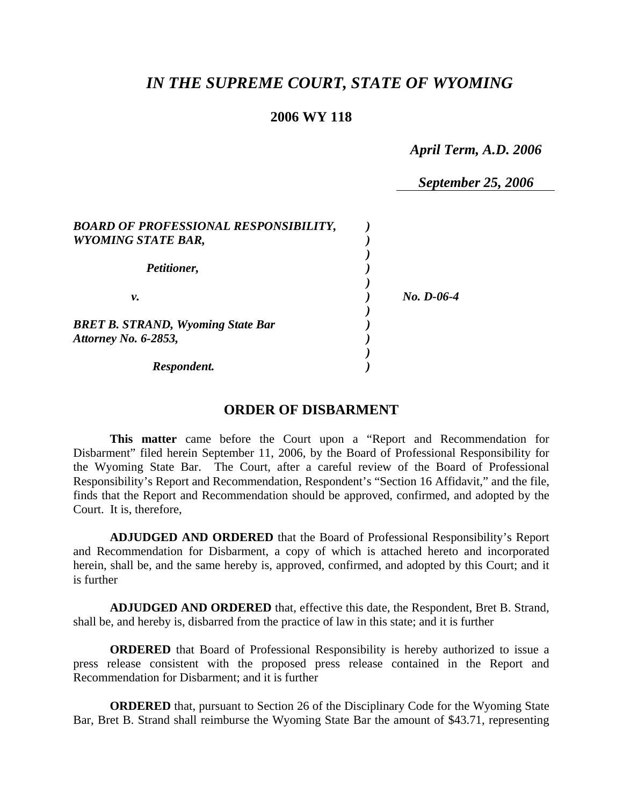## *IN THE SUPREME COURT, STATE OF WYOMING*

### **2006 WY 118**

*April Term, A.D. 2006* 

*September 25, 2006* 

| <b>BOARD OF PROFESSIONAL RESPONSIBILITY,</b><br><b>WYOMING STATE BAR,</b> |              |
|---------------------------------------------------------------------------|--------------|
| Petitioner,                                                               |              |
| ν.                                                                        | $No. D-06-4$ |
| <b>BRET B. STRAND, Wyoming State Bar</b><br><b>Attorney No. 6-2853,</b>   |              |
| Respondent.                                                               |              |

## **ORDER OF DISBARMENT**

**This matter** came before the Court upon a "Report and Recommendation for Disbarment" filed herein September 11, 2006, by the Board of Professional Responsibility for the Wyoming State Bar. The Court, after a careful review of the Board of Professional Responsibility's Report and Recommendation, Respondent's "Section 16 Affidavit," and the file, finds that the Report and Recommendation should be approved, confirmed, and adopted by the Court. It is, therefore,

**ADJUDGED AND ORDERED** that the Board of Professional Responsibility's Report and Recommendation for Disbarment, a copy of which is attached hereto and incorporated herein, shall be, and the same hereby is, approved, confirmed, and adopted by this Court; and it is further

**ADJUDGED AND ORDERED** that, effective this date, the Respondent, Bret B. Strand, shall be, and hereby is, disbarred from the practice of law in this state; and it is further

**ORDERED** that Board of Professional Responsibility is hereby authorized to issue a press release consistent with the proposed press release contained in the Report and Recommendation for Disbarment; and it is further

**ORDERED** that, pursuant to Section 26 of the Disciplinary Code for the Wyoming State Bar, Bret B. Strand shall reimburse the Wyoming State Bar the amount of \$43.71, representing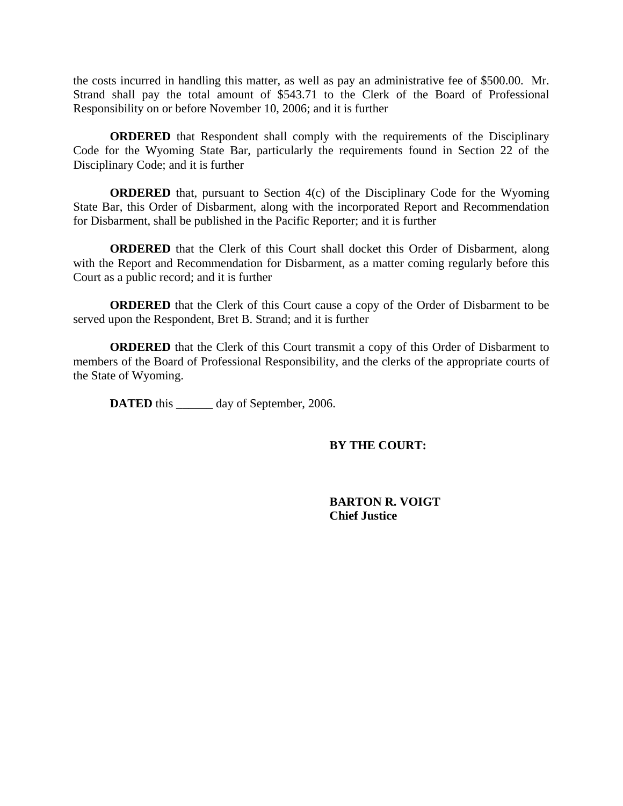the costs incurred in handling this matter, as well as pay an administrative fee of \$500.00. Mr. Strand shall pay the total amount of \$543.71 to the Clerk of the Board of Professional Responsibility on or before November 10, 2006; and it is further

**ORDERED** that Respondent shall comply with the requirements of the Disciplinary Code for the Wyoming State Bar, particularly the requirements found in Section 22 of the Disciplinary Code; and it is further

**ORDERED** that, pursuant to Section 4(c) of the Disciplinary Code for the Wyoming State Bar, this Order of Disbarment, along with the incorporated Report and Recommendation for Disbarment, shall be published in the Pacific Reporter; and it is further

**ORDERED** that the Clerk of this Court shall docket this Order of Disbarment, along with the Report and Recommendation for Disbarment, as a matter coming regularly before this Court as a public record; and it is further

**ORDERED** that the Clerk of this Court cause a copy of the Order of Disbarment to be served upon the Respondent, Bret B. Strand; and it is further

**ORDERED** that the Clerk of this Court transmit a copy of this Order of Disbarment to members of the Board of Professional Responsibility, and the clerks of the appropriate courts of the State of Wyoming.

**DATED** this day of September, 2006.

### **BY THE COURT:**

 **BARTON R. VOIGT Chief Justice**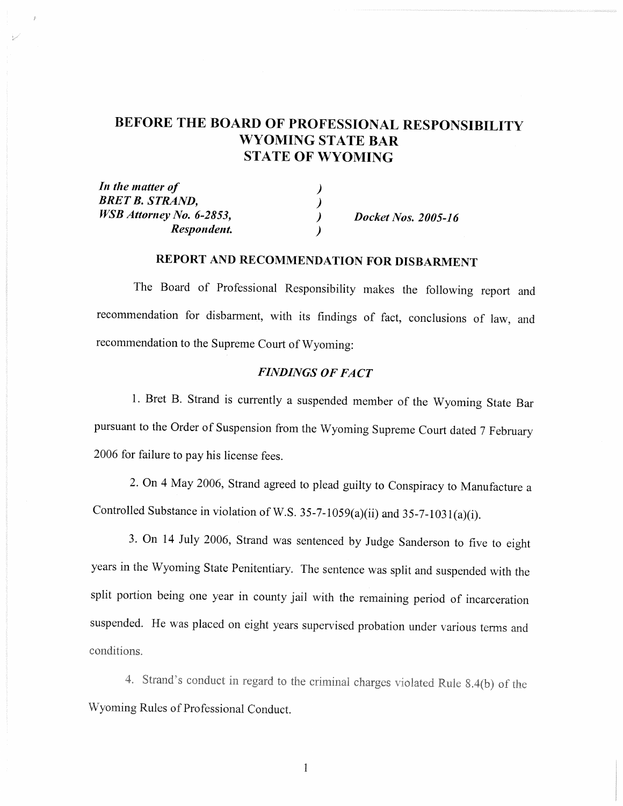# BEFORE THE BOARD OF PROFESSIONAL RESPONSIBILITY **WYOMING STATE BAR STATE OF WYOMING**

| In the matter of         |                     |
|--------------------------|---------------------|
| <b>BRET B. STRAND,</b>   |                     |
| WSB Attorney No. 6-2853, | Docket Nos. 2005-16 |
| Respondent.              |                     |

## REPORT AND RECOMMENDATION FOR DISBARMENT

The Board of Professional Responsibility makes the following report and recommendation for disbarment, with its findings of fact, conclusions of law, and recommendation to the Supreme Court of Wyoming:

## **FINDINGS OF FACT**

1. Bret B. Strand is currently a suspended member of the Wyoming State Bar pursuant to the Order of Suspension from the Wyoming Supreme Court dated 7 February 2006 for failure to pay his license fees.

2. On 4 May 2006, Strand agreed to plead guilty to Conspiracy to Manufacture a Controlled Substance in violation of W.S. 35-7-1059(a)(ii) and 35-7-1031(a)(i).

3. On 14 July 2006, Strand was sentenced by Judge Sanderson to five to eight years in the Wyoming State Penitentiary. The sentence was split and suspended with the split portion being one year in county jail with the remaining period of incarceration suspended. He was placed on eight years supervised probation under various terms and conditions.

4. Strand's conduct in regard to the criminal charges violated Rule 8.4(b) of the Wyoming Rules of Professional Conduct.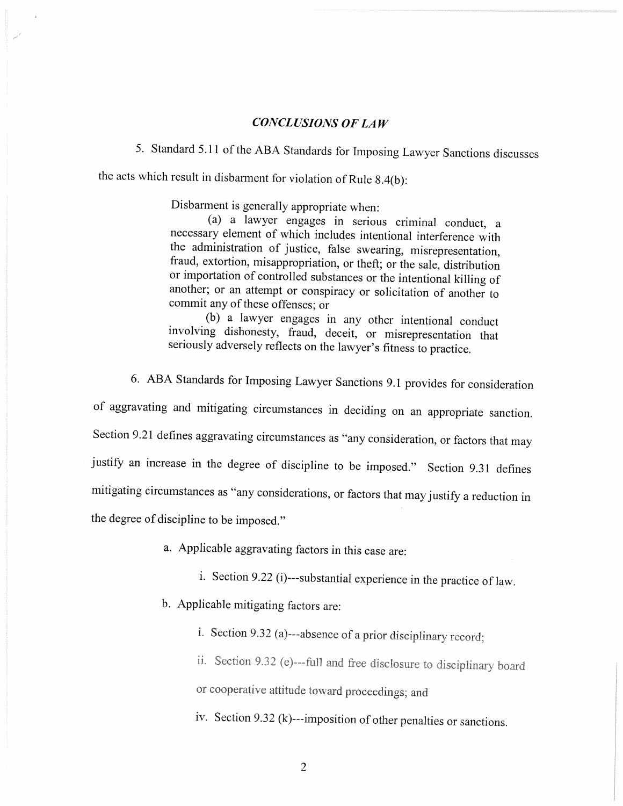#### **CONCLUSIONS OF LAW**

5. Standard 5.11 of the ABA Standards for Imposing Lawyer Sanctions discusses the acts which result in disbarment for violation of Rule 8.4(b):

Disbarment is generally appropriate when:

(a) a lawyer engages in serious criminal conduct, a necessary element of which includes intentional interference with the administration of justice, false swearing, misrepresentation, fraud, extortion, misappropriation, or theft; or the sale, distribution or importation of controlled substances or the intentional killing of another; or an attempt or conspiracy or solicitation of another to commit any of these offenses; or

(b) a lawyer engages in any other intentional conduct involving dishonesty, fraud, deceit, or misrepresentation that seriously adversely reflects on the lawyer's fitness to practice.

6. ABA Standards for Imposing Lawyer Sanctions 9.1 provides for consideration of aggravating and mitigating circumstances in deciding on an appropriate sanction. Section 9.21 defines aggravating circumstances as "any consideration, or factors that may justify an increase in the degree of discipline to be imposed." Section 9.31 defines mitigating circumstances as "any considerations, or factors that may justify a reduction in the degree of discipline to be imposed."

a. Applicable aggravating factors in this case are:

i. Section 9.22 (i)---substantial experience in the practice of law.

b. Applicable mitigating factors are:

i. Section 9.32 (a)---absence of a prior disciplinary record;

ii. Section 9.32 (e)---full and free disclosure to disciplinary board or cooperative attitude toward proceedings; and

iv. Section 9.32 (k)---imposition of other penalties or sanctions.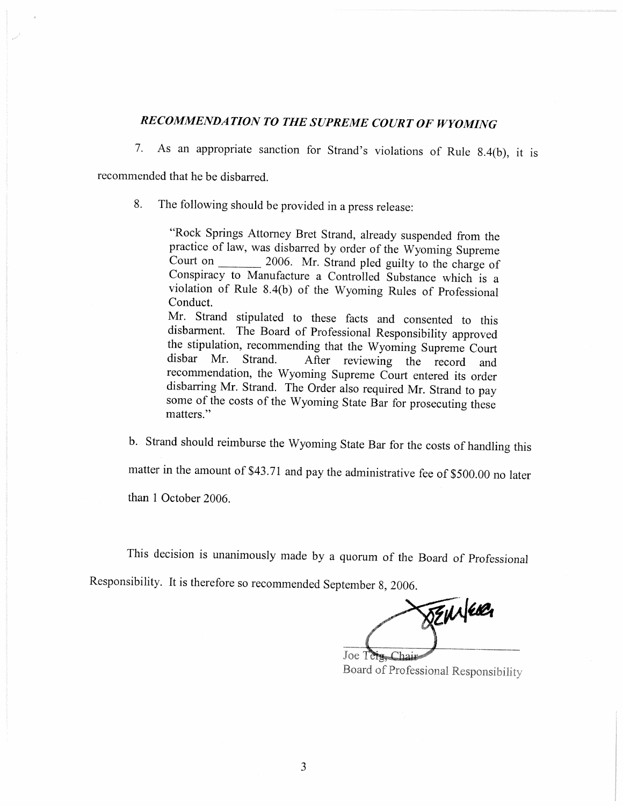## RECOMMENDATION TO THE SUPREME COURT OF WYOMING

As an appropriate sanction for Strand's violations of Rule 8.4(b), it is  $7<sub>1</sub>$ 

recommended that he be disbarred.

8. The following should be provided in a press release:

> "Rock Springs Attorney Bret Strand, already suspended from the practice of law, was disbarred by order of the Wyoming Supreme Court on 2006. Mr. Strand pled guilty to the charge of Conspiracy to Manufacture a Controlled Substance which is a violation of Rule 8.4(b) of the Wyoming Rules of Professional Conduct.

> Mr. Strand stipulated to these facts and consented to this disbarment. The Board of Professional Responsibility approved the stipulation, recommending that the Wyoming Supreme Court disbar Mr. Strand. After reviewing the record and recommendation, the Wyoming Supreme Court entered its order disbarring Mr. Strand. The Order also required Mr. Strand to pay some of the costs of the Wyoming State Bar for prosecuting these matters."

b. Strand should reimburse the Wyoming State Bar for the costs of handling this

matter in the amount of \$43.71 and pay the administrative fee of \$500.00 no later

than 1 October 2006.

This decision is unanimously made by a quorum of the Board of Professional

Responsibility. It is therefore so recommended September 8, 2006.

DEMAGE

Joe Tera Board of Professional Responsibility